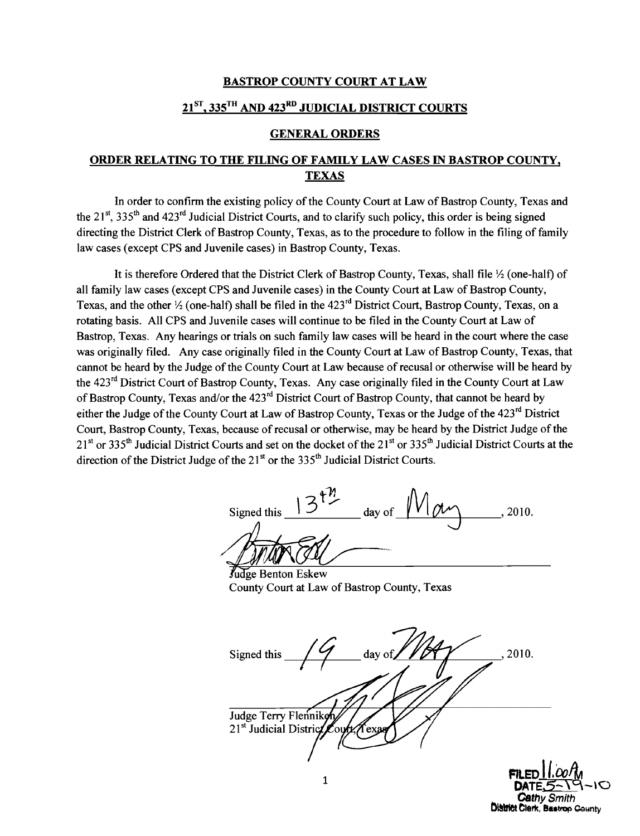## BASTROP COUNTY COURT AT LAW

## $21^{ST}$ , 335<sup>TH</sup> AND 423<sup>RD</sup> JUDICIAL DISTRICT COURTS

## GENERAL ORDERS

## ORDER RELATING TO THE FILING OF FAMILY LAW CASES IN BASTROP COUNTY, **TEXAS**

In order to confirm the existing policy of the County Court at Law of Bastrop County, Texas and the 21<sup>st</sup>, 335<sup>th</sup> and 423<sup>rd</sup> Judicial District Courts, and to clarify such policy, this order is being signed directing the District Clerk of Bastrop County, Texas, as to the procedure to follow in the filing of family law cases (except CPS and Juvenile cases) in Bastrop County, Texas.

It is therefore Ordered that the District Clerk of Bastrop County, Texas, shall file  $\frac{1}{2}$  (one-half) of all family law cases (except CPS and Juvenile cases) in the County Court at Law of Bastrop County, Texas, and the other  $\frac{1}{2}$  (one-half) shall be filed in the 423<sup>rd</sup> District Court, Bastrop County, Texas, on a rotating basis. All CPS and Juvenile cases will continue to be filed in the County Court at Law of Bastrop, Texas. Any hearings or trials on such family law cases will be heard in the court where the case was originally filed. Any case originally filed in the County Court at Law of Bastrop County, Texas, that cannot be heard by the Judge of the County Court at Law because of recusal or otherwise will be heard by the 423<sup>rd</sup> District Court of Bastrop County, Texas. Any case originally filed in the County Court at Law of Bastrop County, Texas and/or the 423<sup>rd</sup> District Court of Bastrop County, that cannot be heard by either the Judge of the County Court at Law of Bastrop County, Texas or the Judge of the 423<sup>rd</sup> District Court, Bastrop County, Texas, because ofrecusal or otherwise, may be heard by the District Judge of the  $21<sup>st</sup>$  or 335<sup>th</sup> Judicial District Courts and set on the docket of the 21<sup>st</sup> or 335<sup>th</sup> Judicial District Courts at the direction of the District Judge of the  $21<sup>st</sup>$  or the 335<sup>th</sup> Judicial District Courts.

Signed this  $13 \frac{\mu}{\mu}$  day of  $M \alpha \gamma$ , 2010. Signed this 12<br>MANGA/<br>Judge Benton Eskew

County Court at Law of Bastrop County, Texas

Signed this  $\frac{1}{\sqrt{4}}$  day of  $\frac{1}{\sqrt{4}}$ , 2010. Judge Terry Flenniko 21<sup>st</sup> Judicial Distric Texa

**FILED 11.00/M**<br>DATE\_5-\O *Cathy Smith* **District Clerk, Bastrop County**